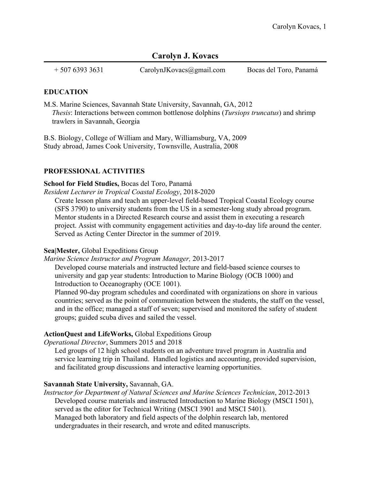# **Carolyn J. Kovacs**

+ 507 6393 3631 CarolynJKovacs@gmail.com Bocas del Toro, Panamá

### **EDUCATION**

M.S. Marine Sciences, Savannah State University, Savannah, GA, 2012 *Thesis*: Interactions between common bottlenose dolphins (*Tursiops truncatus*) and shrimp trawlers in Savannah, Georgia

B.S. Biology, College of William and Mary, Williamsburg, VA, 2009 Study abroad, James Cook University, Townsville, Australia, 2008

# **PROFESSIONAL ACTIVITIES**

### **School for Field Studies,** Bocas del Toro, Panamá

*Resident Lecturer in Tropical Coastal Ecology*, 2018-2020

Create lesson plans and teach an upper-level field-based Tropical Coastal Ecology course (SFS 3790) to university students from the US in a semester-long study abroad program. Mentor students in a Directed Research course and assist them in executing a research project. Assist with community engagement activities and day-to-day life around the center. Served as Acting Center Director in the summer of 2019.

# **Sea|Mester,** Global Expeditions Group

#### *Marine Science Instructor and Program Manager,* 2013-2017

Developed course materials and instructed lecture and field-based science courses to university and gap year students: Introduction to Marine Biology (OCB 1000) and Introduction to Oceanography (OCE 1001).

Planned 90-day program schedules and coordinated with organizations on shore in various countries; served as the point of communication between the students, the staff on the vessel, and in the office; managed a staff of seven; supervised and monitored the safety of student groups; guided scuba dives and sailed the vessel.

# **ActionQuest and LifeWorks,** Global Expeditions Group

*Operational Director*, Summers 2015 and 2018

Led groups of 12 high school students on an adventure travel program in Australia and service learning trip in Thailand. Handled logistics and accounting, provided supervision, and facilitated group discussions and interactive learning opportunities.

# **Savannah State University,** Savannah, GA.

*Instructor for Department of Natural Sciences and Marine Sciences Technician*, 2012-2013 Developed course materials and instructed Introduction to Marine Biology (MSCI 1501), served as the editor for Technical Writing (MSCI 3901 and MSCI 5401). Managed both laboratory and field aspects of the dolphin research lab, mentored undergraduates in their research, and wrote and edited manuscripts.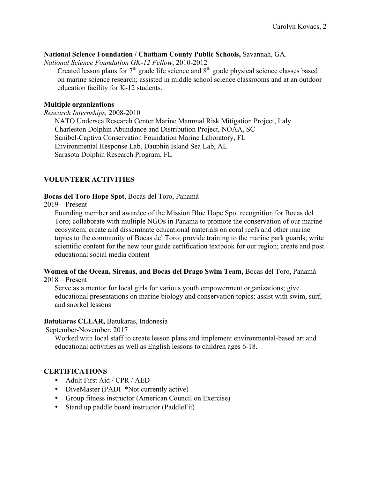#### **National Science Foundation / Chatham County Public Schools,** Savannah, GA.

*National Science Foundation GK-12 Fellow*, 2010-2012

Created lesson plans for  $7<sup>th</sup>$  grade life science and  $8<sup>th</sup>$  grade physical science classes based on marine science research; assisted in middle school science classrooms and at an outdoor education facility for K-12 students.

### **Multiple organizations**

*Research Internships,* 2008-2010

NATO Undersea Research Center Marine Mammal Risk Mitigation Project, Italy Charleston Dolphin Abundance and Distribution Project, NOAA, SC Sanibel-Captiva Conservation Foundation Marine Laboratory, FL Environmental Response Lab, Dauphin Island Sea Lab, AL Sarasota Dolphin Research Program, FL

# **VOLUNTEER ACTIVITIES**

### **Bocas del Toro Hope Spot**, Bocas del Toro, Panamá

2019 – Present

Founding member and awardee of the Mission Blue Hope Spot recognition for Bocas del Toro; collaborate with multiple NGOs in Panama to promote the conservation of our marine ecosystem; create and disseminate educational materials on coral reefs and other marine topics to the community of Bocas del Toro; provide training to the marine park guards; write scientific content for the new tour guide certification textbook for our region; create and post educational social media content

#### **Women of the Ocean, Sirenas, and Bocas del Drago Swim Team,** Bocas del Toro, Panamá 2018 – Present

Serve as a mentor for local girls for various youth empowerment organizations; give educational presentations on marine biology and conservation topics; assist with swim, surf, and snorkel lessons

# **Batukaras CLEAR,** Batukaras, Indonesia

September-November, 2017

Worked with local staff to create lesson plans and implement environmental-based art and educational activities as well as English lessons to children ages 6-18.

# **CERTIFICATIONS**

- Adult First Aid / CPR / AED
- DiveMaster (PADI \*Not currently active)
- Group fitness instructor (American Council on Exercise)
- Stand up paddle board instructor (PaddleFit)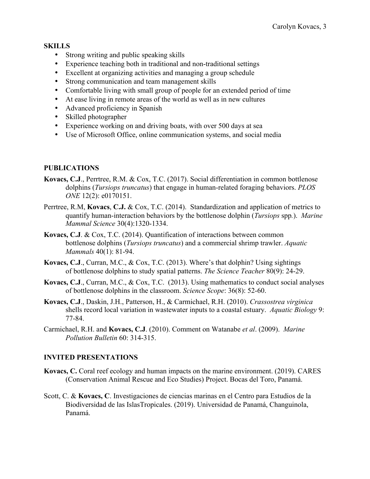# **SKILLS**

- Strong writing and public speaking skills
- Experience teaching both in traditional and non-traditional settings
- Excellent at organizing activities and managing a group schedule
- Strong communication and team management skills
- Comfortable living with small group of people for an extended period of time
- At ease living in remote areas of the world as well as in new cultures
- Advanced proficiency in Spanish
- Skilled photographer
- Experience working on and driving boats, with over 500 days at sea
- Use of Microsoft Office, online communication systems, and social media

# **PUBLICATIONS**

- **Kovacs, C.J**., Perrtree, R.M. & Cox, T.C. (2017). Social differentiation in common bottlenose dolphins (*Tursiops truncatus*) that engage in human-related foraging behaviors. *PLOS ONE* 12(2): e0170151.
- Perrtree, R.M, **Kovacs**, **C.J.** & Cox, T.C. (2014). Standardization and application of metrics to quantify human-interaction behaviors by the bottlenose dolphin (*Tursiops* spp*.*). *Marine Mammal Science* 30(4):1320-1334.
- **Kovacs, C.J**. & Cox, T.C. (2014). Quantification of interactions between common bottlenose dolphins (*Tursiops truncatus*) and a commercial shrimp trawler. *Aquatic Mammals* 40(1): 81-94.
- **Kovacs, C.J**., Curran, M.C., & Cox, T.C. (2013). Where's that dolphin? Using sightings of bottlenose dolphins to study spatial patterns. *The Science Teacher* 80(9): 24-29.
- **Kovacs, C.J**., Curran, M.C., & Cox, T.C. (2013). Using mathematics to conduct social analyses of bottlenose dolphins in the classroom. *Science Scope*: 36(8): 52-60.
- **Kovacs, C.J**., Daskin, J.H., Patterson, H., & Carmichael, R.H. (2010). *Crassostrea virginica* shells record local variation in wastewater inputs to a coastal estuary. *Aquatic Biology* 9: 77-84.
- Carmichael, R.H. and **Kovacs, C.J**. (2010). Comment on Watanabe *et al*. (2009). *Marine Pollution Bulletin* 60: 314-315.

# **INVITED PRESENTATIONS**

- **Kovacs, C.** Coral reef ecology and human impacts on the marine environment. (2019). CARES (Conservation Animal Rescue and Eco Studies) Project. Bocas del Toro, Panamá.
- Scott, C. & **Kovacs, C**. Investigaciones de ciencias marinas en el Centro para Estudios de la Biodiversidad de las IslasTropicales. (2019). Universidad de Panamá, Changuinola, Panamá.